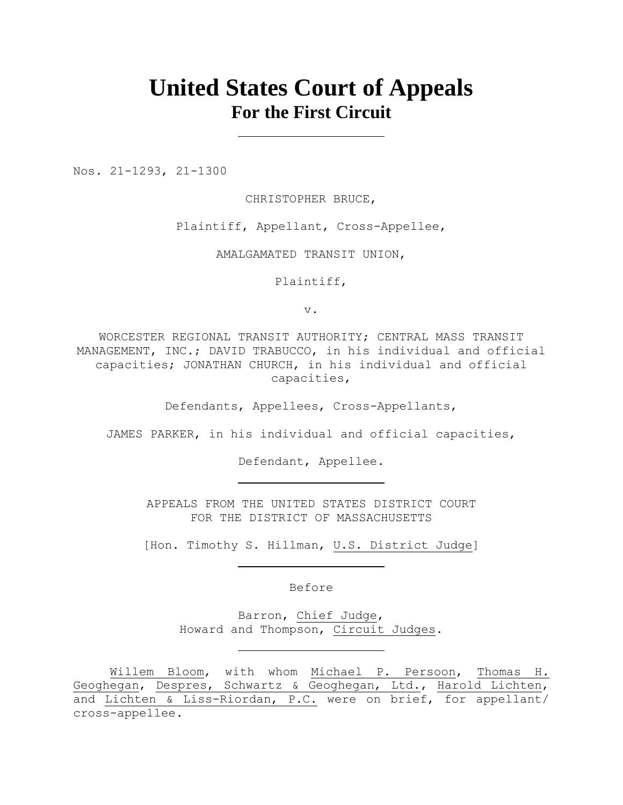# **United States Court of Appeals For the First Circuit**

Nos. 21-1293, 21-1300

CHRISTOPHER BRUCE,

Plaintiff, Appellant, Cross-Appellee,

AMALGAMATED TRANSIT UNION,

Plaintiff,

v.

WORCESTER REGIONAL TRANSIT AUTHORITY; CENTRAL MASS TRANSIT MANAGEMENT, INC.; DAVID TRABUCCO, in his individual and official capacities; JONATHAN CHURCH, in his individual and official capacities,

Defendants, Appellees, Cross-Appellants,

JAMES PARKER, in his individual and official capacities,

Defendant, Appellee.

APPEALS FROM THE UNITED STATES DISTRICT COURT FOR THE DISTRICT OF MASSACHUSETTS

[Hon. Timothy S. Hillman, U.S. District Judge]

Before

Barron, Chief Judge, Howard and Thompson, Circuit Judges.

Willem Bloom, with whom Michael P. Persoon, Thomas H. Geoghegan, Despres, Schwartz & Geoghegan, Ltd., Harold Lichten, and Lichten & Liss-Riordan, P.C. were on brief, for appellant/ cross-appellee.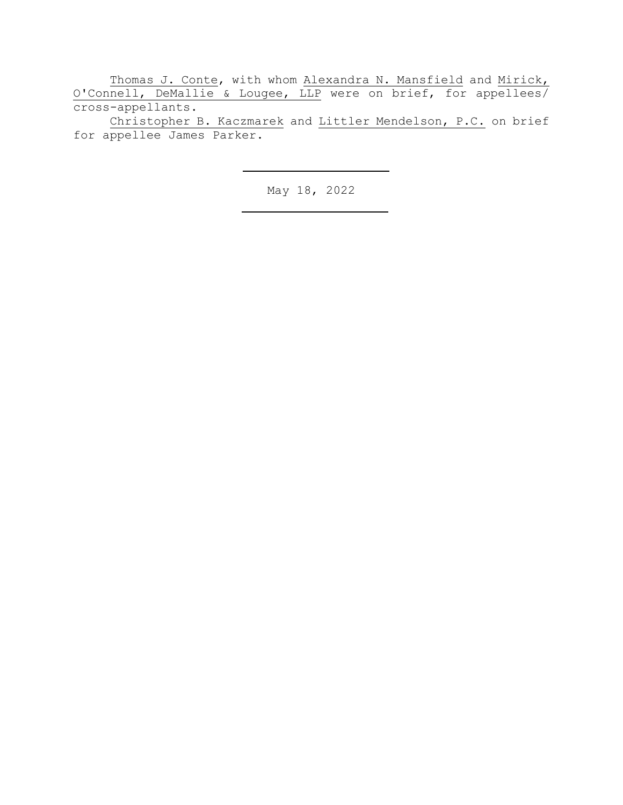Thomas J. Conte, with whom Alexandra N. Mansfield and Mirick, O'Connell, DeMallie & Lougee, LLP were on brief, for appellees/ cross-appellants.

Christopher B. Kaczmarek and Littler Mendelson, P.C. on brief for appellee James Parker.

May 18, 2022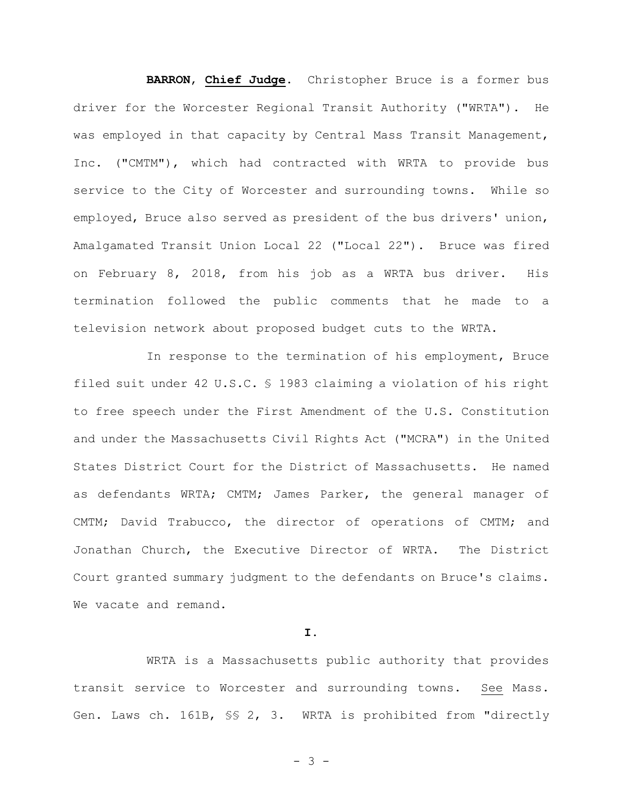**BARRON**, **Chief Judge**. Christopher Bruce is a former bus driver for the Worcester Regional Transit Authority ("WRTA"). He was employed in that capacity by Central Mass Transit Management, Inc. ("CMTM"), which had contracted with WRTA to provide bus service to the City of Worcester and surrounding towns. While so employed, Bruce also served as president of the bus drivers' union, Amalgamated Transit Union Local 22 ("Local 22"). Bruce was fired on February 8, 2018, from his job as a WRTA bus driver. His termination followed the public comments that he made to a television network about proposed budget cuts to the WRTA.

In response to the termination of his employment, Bruce filed suit under 42 U.S.C. § 1983 claiming a violation of his right to free speech under the First Amendment of the U.S. Constitution and under the Massachusetts Civil Rights Act ("MCRA") in the United States District Court for the District of Massachusetts. He named as defendants WRTA; CMTM; James Parker, the general manager of CMTM; David Trabucco, the director of operations of CMTM; and Jonathan Church, the Executive Director of WRTA. The District Court granted summary judgment to the defendants on Bruce's claims. We vacate and remand.

# **I.**

WRTA is a Massachusetts public authority that provides transit service to Worcester and surrounding towns. See Mass. Gen. Laws ch. 161B, §§ 2, 3. WRTA is prohibited from "directly

- 3 -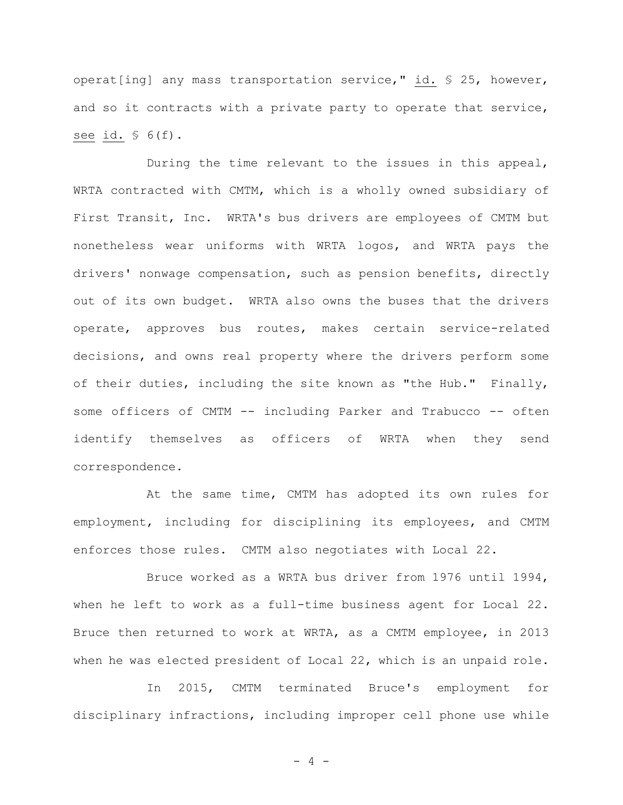operat[ing] any mass transportation service," id. § 25, however, and so it contracts with a private party to operate that service, see id.  $\frac{1}{5}$  6(f).

During the time relevant to the issues in this appeal, WRTA contracted with CMTM, which is a wholly owned subsidiary of First Transit, Inc. WRTA's bus drivers are employees of CMTM but nonetheless wear uniforms with WRTA logos, and WRTA pays the drivers' nonwage compensation, such as pension benefits, directly out of its own budget. WRTA also owns the buses that the drivers operate, approves bus routes, makes certain service-related decisions, and owns real property where the drivers perform some of their duties, including the site known as "the Hub." Finally, some officers of CMTM -- including Parker and Trabucco -- often identify themselves as officers of WRTA when they send correspondence.

At the same time, CMTM has adopted its own rules for employment, including for disciplining its employees, and CMTM enforces those rules. CMTM also negotiates with Local 22.

Bruce worked as a WRTA bus driver from 1976 until 1994, when he left to work as a full-time business agent for Local 22. Bruce then returned to work at WRTA, as a CMTM employee, in 2013 when he was elected president of Local 22, which is an unpaid role.

In 2015, CMTM terminated Bruce's employment for disciplinary infractions, including improper cell phone use while

 $- 4 -$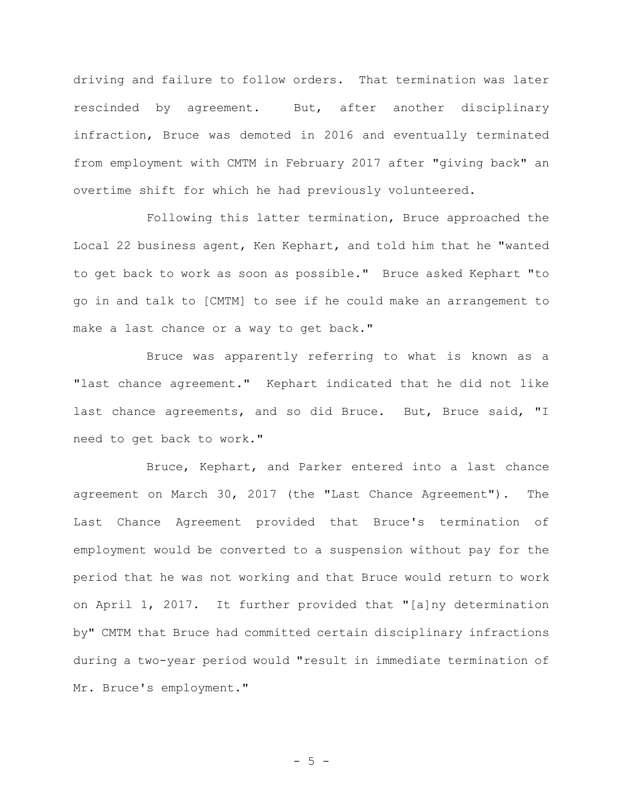driving and failure to follow orders. That termination was later rescinded by agreement. But, after another disciplinary infraction, Bruce was demoted in 2016 and eventually terminated from employment with CMTM in February 2017 after "giving back" an overtime shift for which he had previously volunteered.

Following this latter termination, Bruce approached the Local 22 business agent, Ken Kephart, and told him that he "wanted to get back to work as soon as possible." Bruce asked Kephart "to go in and talk to [CMTM] to see if he could make an arrangement to make a last chance or a way to get back."

Bruce was apparently referring to what is known as a "last chance agreement." Kephart indicated that he did not like last chance agreements, and so did Bruce. But, Bruce said, "I need to get back to work."

Bruce, Kephart, and Parker entered into a last chance agreement on March 30, 2017 (the "Last Chance Agreement"). The Last Chance Agreement provided that Bruce's termination of employment would be converted to a suspension without pay for the period that he was not working and that Bruce would return to work on April 1, 2017. It further provided that "[a]ny determination by" CMTM that Bruce had committed certain disciplinary infractions during a two-year period would "result in immediate termination of Mr. Bruce's employment."

 $- 5 -$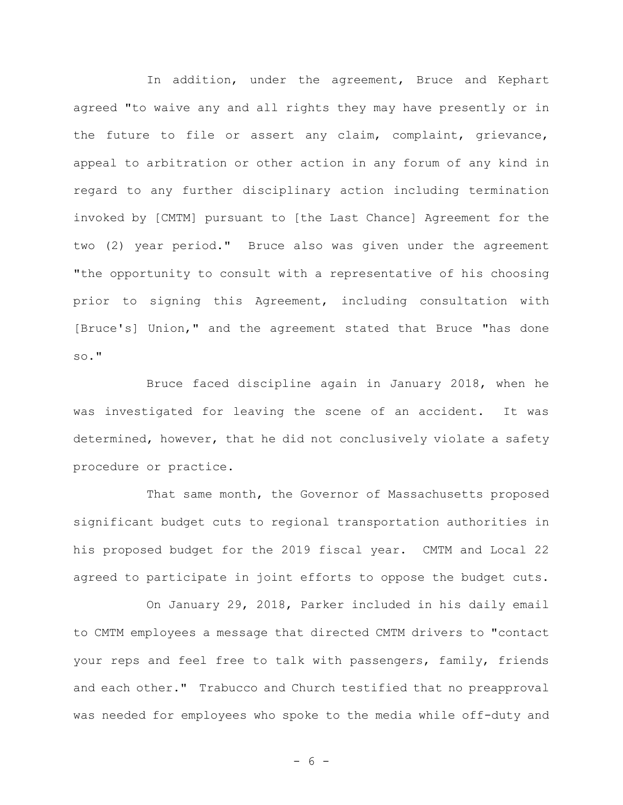In addition, under the agreement, Bruce and Kephart agreed "to waive any and all rights they may have presently or in the future to file or assert any claim, complaint, grievance, appeal to arbitration or other action in any forum of any kind in regard to any further disciplinary action including termination invoked by [CMTM] pursuant to [the Last Chance] Agreement for the two (2) year period." Bruce also was given under the agreement "the opportunity to consult with a representative of his choosing prior to signing this Agreement, including consultation with [Bruce's] Union," and the agreement stated that Bruce "has done so."

Bruce faced discipline again in January 2018, when he was investigated for leaving the scene of an accident. It was determined, however, that he did not conclusively violate a safety procedure or practice.

That same month, the Governor of Massachusetts proposed significant budget cuts to regional transportation authorities in his proposed budget for the 2019 fiscal year. CMTM and Local 22 agreed to participate in joint efforts to oppose the budget cuts.

On January 29, 2018, Parker included in his daily email to CMTM employees a message that directed CMTM drivers to "contact your reps and feel free to talk with passengers, family, friends and each other." Trabucco and Church testified that no preapproval was needed for employees who spoke to the media while off-duty and

- 6 -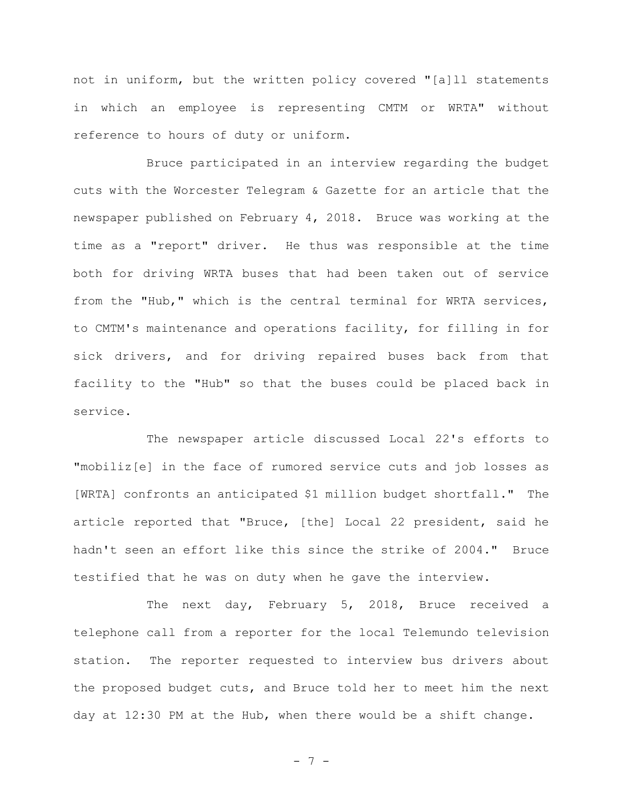not in uniform, but the written policy covered "[a]ll statements in which an employee is representing CMTM or WRTA" without reference to hours of duty or uniform.

Bruce participated in an interview regarding the budget cuts with the Worcester Telegram & Gazette for an article that the newspaper published on February 4, 2018. Bruce was working at the time as a "report" driver. He thus was responsible at the time both for driving WRTA buses that had been taken out of service from the "Hub," which is the central terminal for WRTA services, to CMTM's maintenance and operations facility, for filling in for sick drivers, and for driving repaired buses back from that facility to the "Hub" so that the buses could be placed back in service.

The newspaper article discussed Local 22's efforts to "mobiliz[e] in the face of rumored service cuts and job losses as [WRTA] confronts an anticipated \$1 million budget shortfall." The article reported that "Bruce, [the] Local 22 president, said he hadn't seen an effort like this since the strike of 2004." Bruce testified that he was on duty when he gave the interview.

The next day, February 5, 2018, Bruce received a telephone call from a reporter for the local Telemundo television station. The reporter requested to interview bus drivers about the proposed budget cuts, and Bruce told her to meet him the next day at 12:30 PM at the Hub, when there would be a shift change.

- 7 -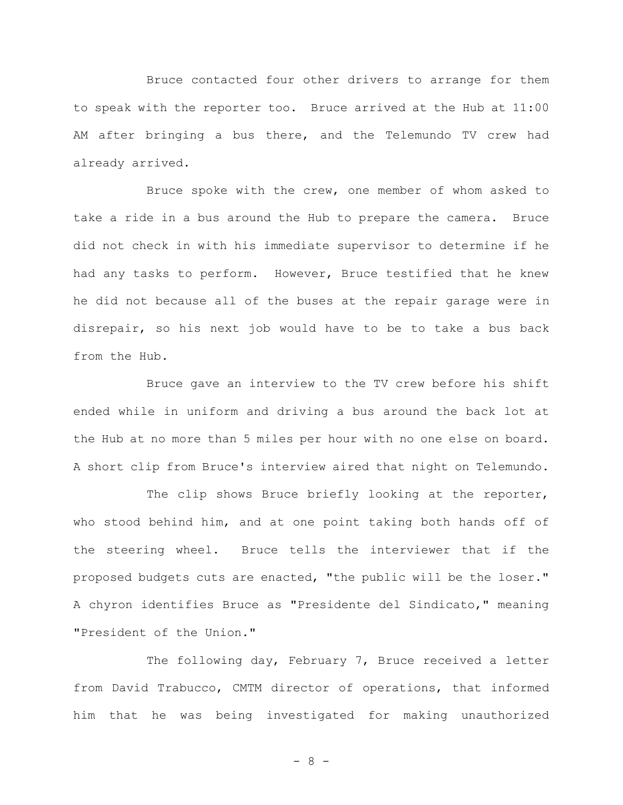Bruce contacted four other drivers to arrange for them to speak with the reporter too. Bruce arrived at the Hub at 11:00 AM after bringing a bus there, and the Telemundo TV crew had already arrived.

Bruce spoke with the crew, one member of whom asked to take a ride in a bus around the Hub to prepare the camera. Bruce did not check in with his immediate supervisor to determine if he had any tasks to perform. However, Bruce testified that he knew he did not because all of the buses at the repair garage were in disrepair, so his next job would have to be to take a bus back from the Hub.

Bruce gave an interview to the TV crew before his shift ended while in uniform and driving a bus around the back lot at the Hub at no more than 5 miles per hour with no one else on board. A short clip from Bruce's interview aired that night on Telemundo.

The clip shows Bruce briefly looking at the reporter, who stood behind him, and at one point taking both hands off of the steering wheel. Bruce tells the interviewer that if the proposed budgets cuts are enacted, "the public will be the loser." A chyron identifies Bruce as "Presidente del Sindicato," meaning "President of the Union."

The following day, February 7, Bruce received a letter from David Trabucco, CMTM director of operations, that informed him that he was being investigated for making unauthorized

- 8 -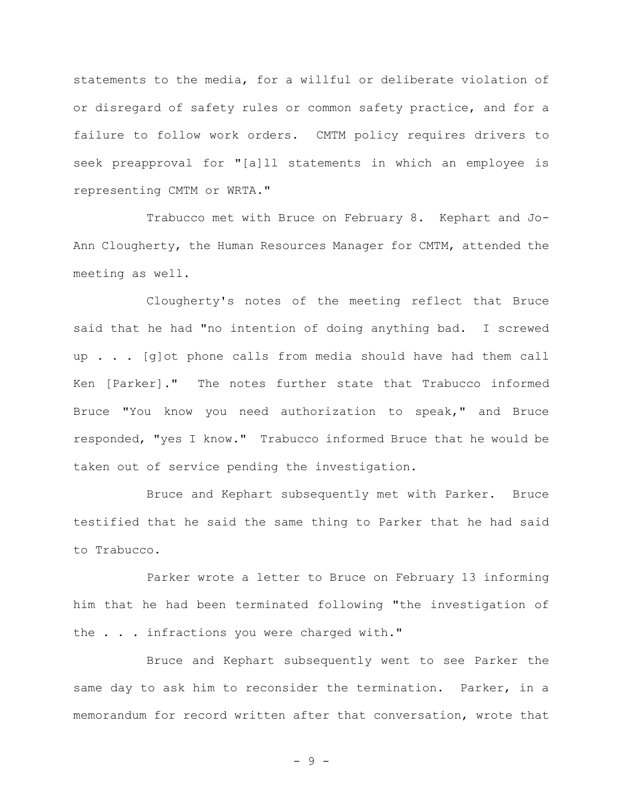statements to the media, for a willful or deliberate violation of or disregard of safety rules or common safety practice, and for a failure to follow work orders. CMTM policy requires drivers to seek preapproval for "[a]ll statements in which an employee is representing CMTM or WRTA."

Trabucco met with Bruce on February 8. Kephart and Jo-Ann Clougherty, the Human Resources Manager for CMTM, attended the meeting as well.

Clougherty's notes of the meeting reflect that Bruce said that he had "no intention of doing anything bad. I screwed up . . . [g]ot phone calls from media should have had them call Ken [Parker]." The notes further state that Trabucco informed Bruce "You know you need authorization to speak," and Bruce responded, "yes I know." Trabucco informed Bruce that he would be taken out of service pending the investigation.

Bruce and Kephart subsequently met with Parker. Bruce testified that he said the same thing to Parker that he had said to Trabucco.

Parker wrote a letter to Bruce on February 13 informing him that he had been terminated following "the investigation of the . . . infractions you were charged with."

Bruce and Kephart subsequently went to see Parker the same day to ask him to reconsider the termination. Parker, in a memorandum for record written after that conversation, wrote that

- 9 -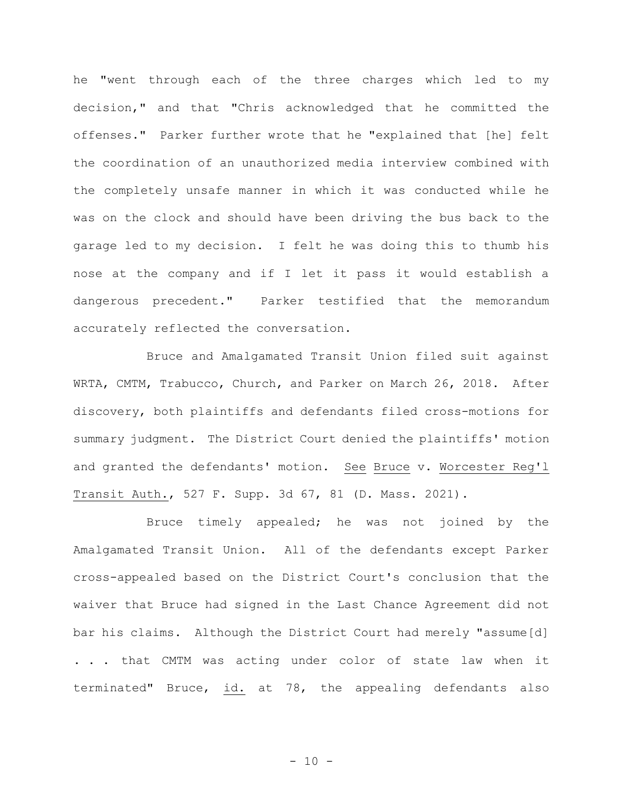he "went through each of the three charges which led to my decision," and that "Chris acknowledged that he committed the offenses." Parker further wrote that he "explained that [he] felt the coordination of an unauthorized media interview combined with the completely unsafe manner in which it was conducted while he was on the clock and should have been driving the bus back to the garage led to my decision. I felt he was doing this to thumb his nose at the company and if I let it pass it would establish a dangerous precedent." Parker testified that the memorandum accurately reflected the conversation.

Bruce and Amalgamated Transit Union filed suit against WRTA, CMTM, Trabucco, Church, and Parker on March 26, 2018. After discovery, both plaintiffs and defendants filed cross-motions for summary judgment. The District Court denied the plaintiffs' motion and granted the defendants' motion. See Bruce v. Worcester Reg'l Transit Auth., 527 F. Supp. 3d 67, 81 (D. Mass. 2021).

Bruce timely appealed; he was not joined by the Amalgamated Transit Union. All of the defendants except Parker cross-appealed based on the District Court's conclusion that the waiver that Bruce had signed in the Last Chance Agreement did not bar his claims. Although the District Court had merely "assume[d] . . . that CMTM was acting under color of state law when it terminated" Bruce, id. at 78, the appealing defendants also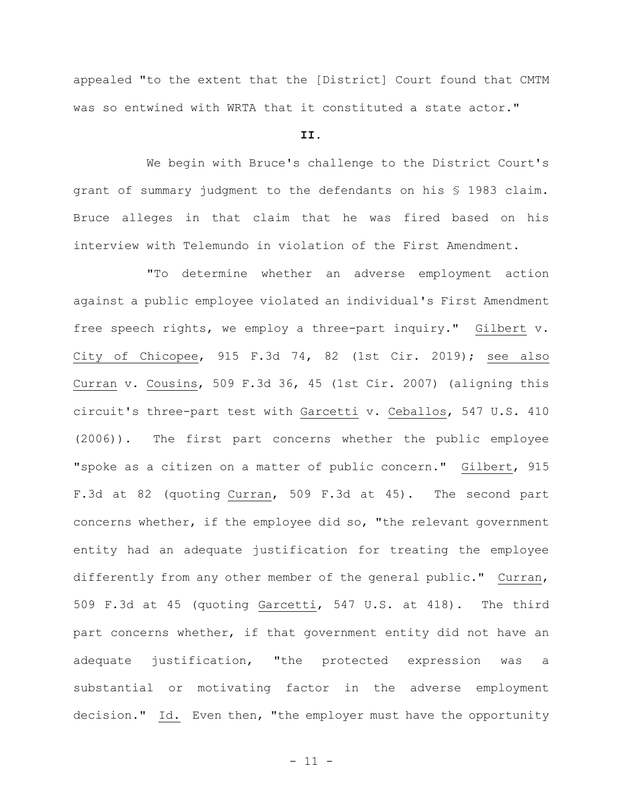appealed "to the extent that the [District] Court found that CMTM was so entwined with WRTA that it constituted a state actor."

# **II.**

We begin with Bruce's challenge to the District Court's grant of summary judgment to the defendants on his § 1983 claim. Bruce alleges in that claim that he was fired based on his interview with Telemundo in violation of the First Amendment.

"To determine whether an adverse employment action against a public employee violated an individual's First Amendment free speech rights, we employ a three-part inquiry." Gilbert v. City of Chicopee, 915 F.3d 74, 82 (1st Cir. 2019); see also Curran v. Cousins, 509 F.3d 36, 45 (1st Cir. 2007) (aligning this circuit's three-part test with Garcetti v. Ceballos, 547 U.S. 410 (2006)). The first part concerns whether the public employee "spoke as a citizen on a matter of public concern." Gilbert, 915 F.3d at 82 (quoting Curran, 509 F.3d at 45). The second part concerns whether, if the employee did so, "the relevant government entity had an adequate justification for treating the employee differently from any other member of the general public." Curran, 509 F.3d at 45 (quoting Garcetti, 547 U.S. at 418). The third part concerns whether, if that government entity did not have an adequate justification, "the protected expression was a substantial or motivating factor in the adverse employment decision." Id. Even then, "the employer must have the opportunity

- 11 -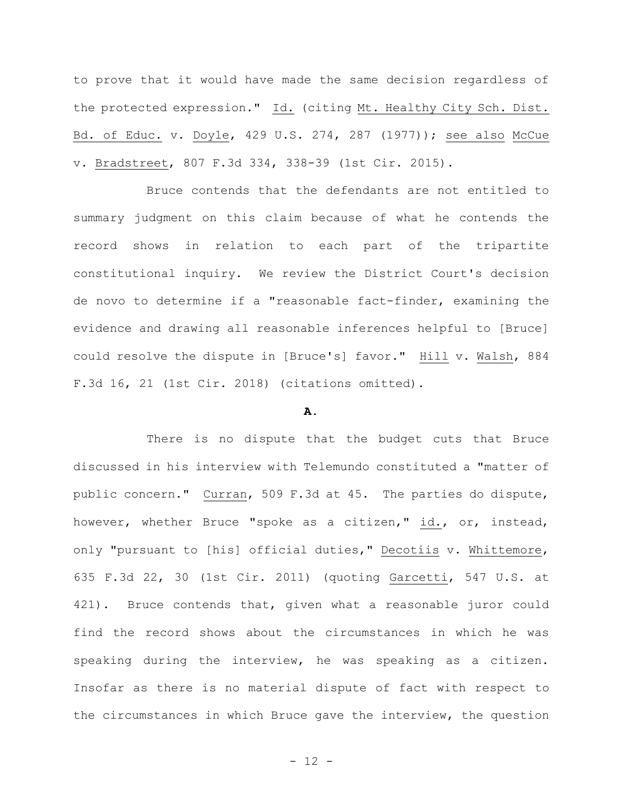to prove that it would have made the same decision regardless of the protected expression." Id. (citing Mt. Healthy City Sch. Dist. Bd. of Educ. v. Doyle, 429 U.S. 274, 287 (1977)); see also McCue v. Bradstreet, 807 F.3d 334, 338-39 (1st Cir. 2015).

Bruce contends that the defendants are not entitled to summary judgment on this claim because of what he contends the record shows in relation to each part of the tripartite constitutional inquiry. We review the District Court's decision de novo to determine if a "reasonable fact-finder, examining the evidence and drawing all reasonable inferences helpful to [Bruce] could resolve the dispute in [Bruce's] favor." Hill v. Walsh, 884 F.3d 16, 21 (1st Cir. 2018) (citations omitted).

# **A.**

There is no dispute that the budget cuts that Bruce discussed in his interview with Telemundo constituted a "matter of public concern." Curran, 509 F.3d at 45. The parties do dispute, however, whether Bruce "spoke as a citizen," id., or, instead, only "pursuant to [his] official duties," Decotiis v. Whittemore, 635 F.3d 22, 30 (1st Cir. 2011) (quoting Garcetti, 547 U.S. at 421). Bruce contends that, given what a reasonable juror could find the record shows about the circumstances in which he was speaking during the interview, he was speaking as a citizen. Insofar as there is no material dispute of fact with respect to the circumstances in which Bruce gave the interview, the question

- 12 -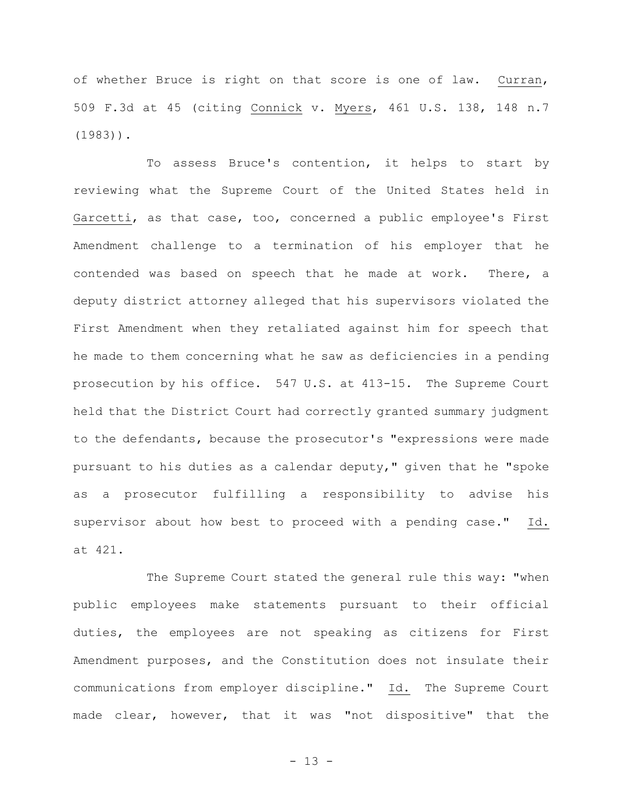of whether Bruce is right on that score is one of law. Curran, 509 F.3d at 45 (citing Connick v. Myers, 461 U.S. 138, 148 n.7 (1983)).

To assess Bruce's contention, it helps to start by reviewing what the Supreme Court of the United States held in Garcetti, as that case, too, concerned a public employee's First Amendment challenge to a termination of his employer that he contended was based on speech that he made at work. There, a deputy district attorney alleged that his supervisors violated the First Amendment when they retaliated against him for speech that he made to them concerning what he saw as deficiencies in a pending prosecution by his office. 547 U.S. at 413-15. The Supreme Court held that the District Court had correctly granted summary judgment to the defendants, because the prosecutor's "expressions were made pursuant to his duties as a calendar deputy," given that he "spoke as a prosecutor fulfilling a responsibility to advise his supervisor about how best to proceed with a pending case." Id. at 421.

The Supreme Court stated the general rule this way: "when public employees make statements pursuant to their official duties, the employees are not speaking as citizens for First Amendment purposes, and the Constitution does not insulate their communications from employer discipline." Id. The Supreme Court made clear, however, that it was "not dispositive" that the

- 13 -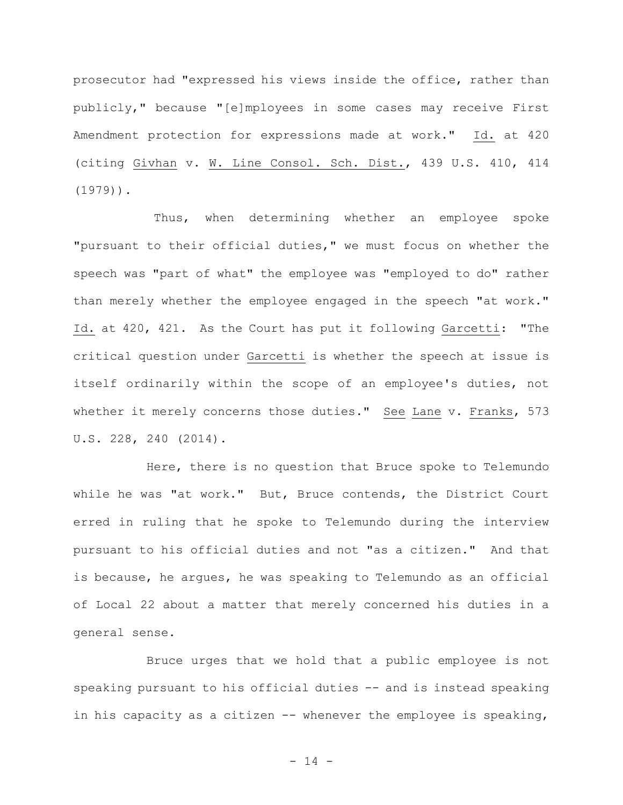prosecutor had "expressed his views inside the office, rather than publicly," because "[e]mployees in some cases may receive First Amendment protection for expressions made at work." Id. at 420 (citing Givhan v. W. Line Consol. Sch. Dist., 439 U.S. 410, 414 (1979)).

Thus, when determining whether an employee spoke "pursuant to their official duties," we must focus on whether the speech was "part of what" the employee was "employed to do" rather than merely whether the employee engaged in the speech "at work." Id. at 420, 421. As the Court has put it following Garcetti: "The critical question under Garcetti is whether the speech at issue is itself ordinarily within the scope of an employee's duties, not whether it merely concerns those duties." See Lane v. Franks, 573 U.S. 228, 240 (2014).

Here, there is no question that Bruce spoke to Telemundo while he was "at work." But, Bruce contends, the District Court erred in ruling that he spoke to Telemundo during the interview pursuant to his official duties and not "as a citizen." And that is because, he argues, he was speaking to Telemundo as an official of Local 22 about a matter that merely concerned his duties in a general sense.

Bruce urges that we hold that a public employee is not speaking pursuant to his official duties -- and is instead speaking in his capacity as a citizen -- whenever the employee is speaking,

- 14 -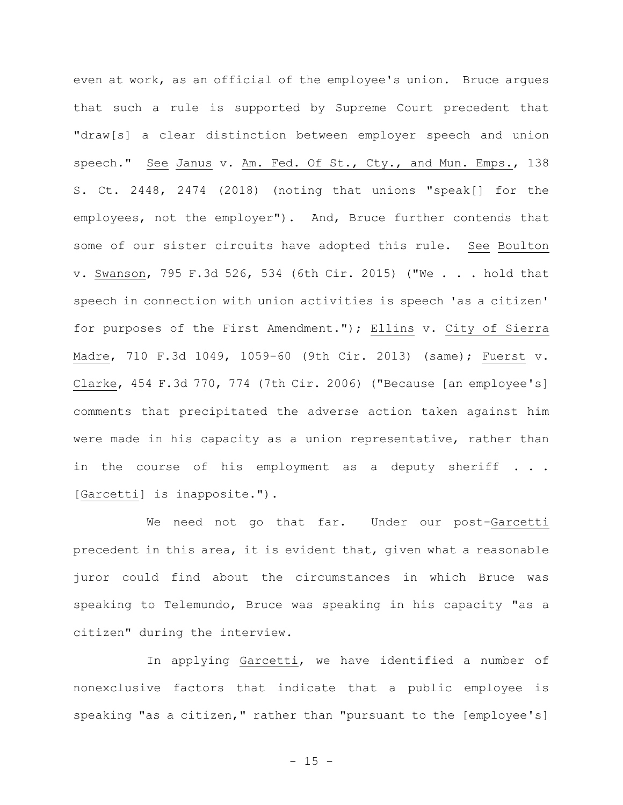even at work, as an official of the employee's union. Bruce argues that such a rule is supported by Supreme Court precedent that "draw[s] a clear distinction between employer speech and union speech." See Janus v. Am. Fed. Of St., Cty., and Mun. Emps., 138 S. Ct. 2448, 2474 (2018) (noting that unions "speak[] for the employees, not the employer"). And, Bruce further contends that some of our sister circuits have adopted this rule. See Boulton v. Swanson, 795 F.3d 526, 534 (6th Cir. 2015) ("We . . . hold that speech in connection with union activities is speech 'as a citizen' for purposes of the First Amendment."); Ellins v. City of Sierra Madre, 710 F.3d 1049, 1059-60 (9th Cir. 2013) (same); Fuerst v. Clarke, 454 F.3d 770, 774 (7th Cir. 2006) ("Because [an employee's] comments that precipitated the adverse action taken against him were made in his capacity as a union representative, rather than in the course of his employment as a deputy sheriff . . . [Garcetti] is inapposite.").

We need not go that far. Under our post-Garcetti precedent in this area, it is evident that, given what a reasonable juror could find about the circumstances in which Bruce was speaking to Telemundo, Bruce was speaking in his capacity "as a citizen" during the interview.

In applying Garcetti, we have identified a number of nonexclusive factors that indicate that a public employee is speaking "as a citizen," rather than "pursuant to the [employee's]

 $- 15 -$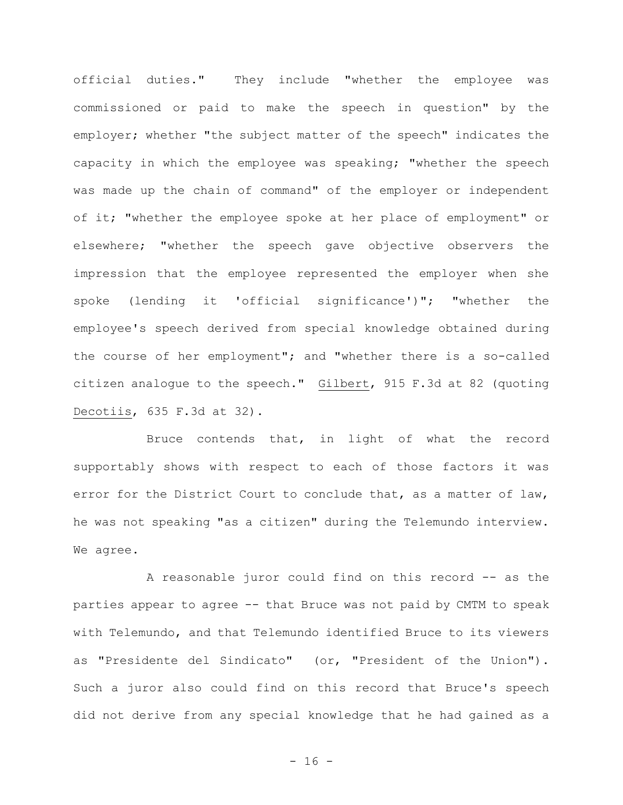official duties." They include "whether the employee was commissioned or paid to make the speech in question" by the employer; whether "the subject matter of the speech" indicates the capacity in which the employee was speaking; "whether the speech was made up the chain of command" of the employer or independent of it; "whether the employee spoke at her place of employment" or elsewhere; "whether the speech gave objective observers the impression that the employee represented the employer when she spoke (lending it 'official significance')"; "whether the employee's speech derived from special knowledge obtained during the course of her employment"; and "whether there is a so-called citizen analogue to the speech." Gilbert, 915 F.3d at 82 (quoting Decotiis, 635 F.3d at 32).

Bruce contends that, in light of what the record supportably shows with respect to each of those factors it was error for the District Court to conclude that, as a matter of law, he was not speaking "as a citizen" during the Telemundo interview. We agree.

A reasonable juror could find on this record -- as the parties appear to agree -- that Bruce was not paid by CMTM to speak with Telemundo, and that Telemundo identified Bruce to its viewers as "Presidente del Sindicato" (or, "President of the Union"). Such a juror also could find on this record that Bruce's speech did not derive from any special knowledge that he had gained as a

 $- 16 -$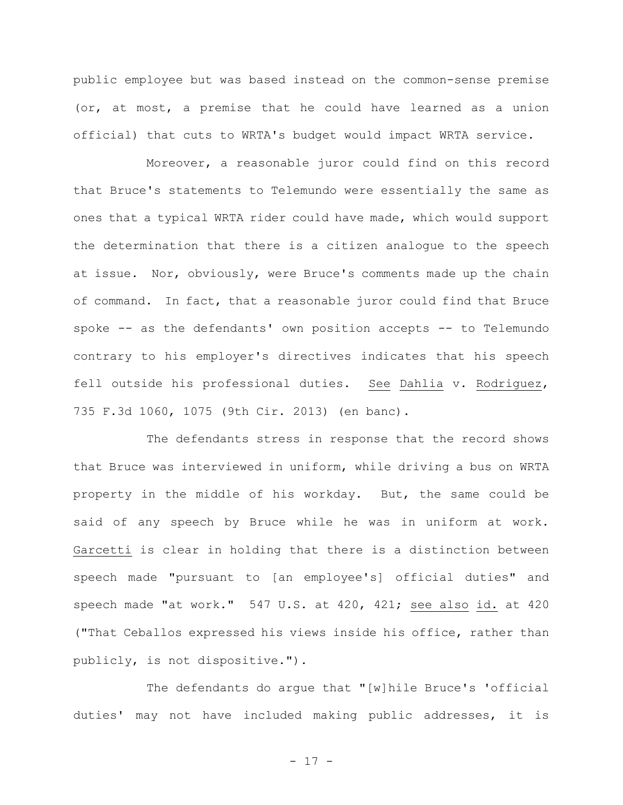public employee but was based instead on the common-sense premise (or, at most, a premise that he could have learned as a union official) that cuts to WRTA's budget would impact WRTA service.

Moreover, a reasonable juror could find on this record that Bruce's statements to Telemundo were essentially the same as ones that a typical WRTA rider could have made, which would support the determination that there is a citizen analogue to the speech at issue. Nor, obviously, were Bruce's comments made up the chain of command. In fact, that a reasonable juror could find that Bruce spoke -- as the defendants' own position accepts -- to Telemundo contrary to his employer's directives indicates that his speech fell outside his professional duties. See Dahlia v. Rodriguez, 735 F.3d 1060, 1075 (9th Cir. 2013) (en banc).

The defendants stress in response that the record shows that Bruce was interviewed in uniform, while driving a bus on WRTA property in the middle of his workday. But, the same could be said of any speech by Bruce while he was in uniform at work. Garcetti is clear in holding that there is a distinction between speech made "pursuant to [an employee's] official duties" and speech made "at work." 547 U.S. at 420, 421; see also id. at 420 ("That Ceballos expressed his views inside his office, rather than publicly, is not dispositive.").

The defendants do argue that "[w]hile Bruce's 'official duties' may not have included making public addresses, it is

- 17 -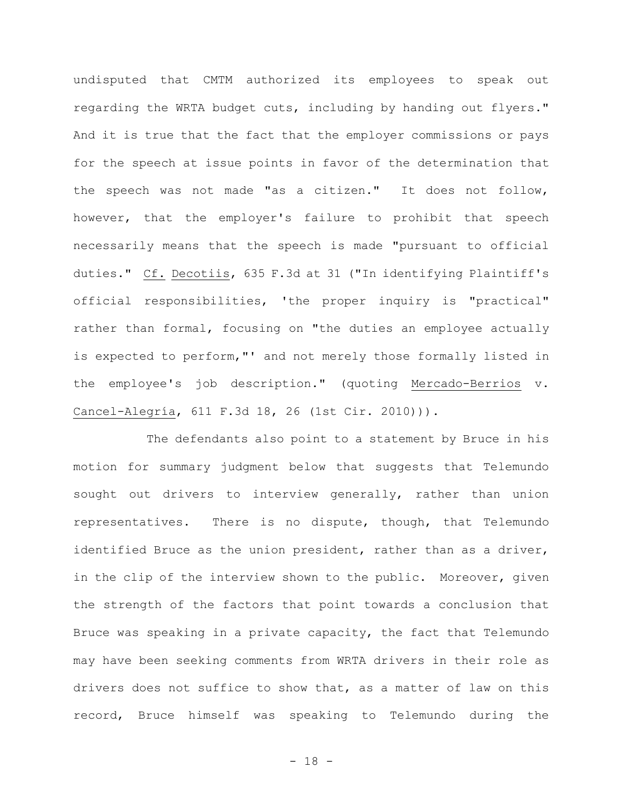undisputed that CMTM authorized its employees to speak out regarding the WRTA budget cuts, including by handing out flyers." And it is true that the fact that the employer commissions or pays for the speech at issue points in favor of the determination that the speech was not made "as a citizen." It does not follow, however, that the employer's failure to prohibit that speech necessarily means that the speech is made "pursuant to official duties." Cf. Decotiis, 635 F.3d at 31 ("In identifying Plaintiff's official responsibilities, 'the proper inquiry is "practical" rather than formal, focusing on "the duties an employee actually is expected to perform,"' and not merely those formally listed in the employee's job description." (quoting Mercado-Berrios v. Cancel-Alegría, 611 F.3d 18, 26 (1st Cir. 2010))).

The defendants also point to a statement by Bruce in his motion for summary judgment below that suggests that Telemundo sought out drivers to interview generally, rather than union representatives. There is no dispute, though, that Telemundo identified Bruce as the union president, rather than as a driver, in the clip of the interview shown to the public. Moreover, given the strength of the factors that point towards a conclusion that Bruce was speaking in a private capacity, the fact that Telemundo may have been seeking comments from WRTA drivers in their role as drivers does not suffice to show that, as a matter of law on this record, Bruce himself was speaking to Telemundo during the

- 18 -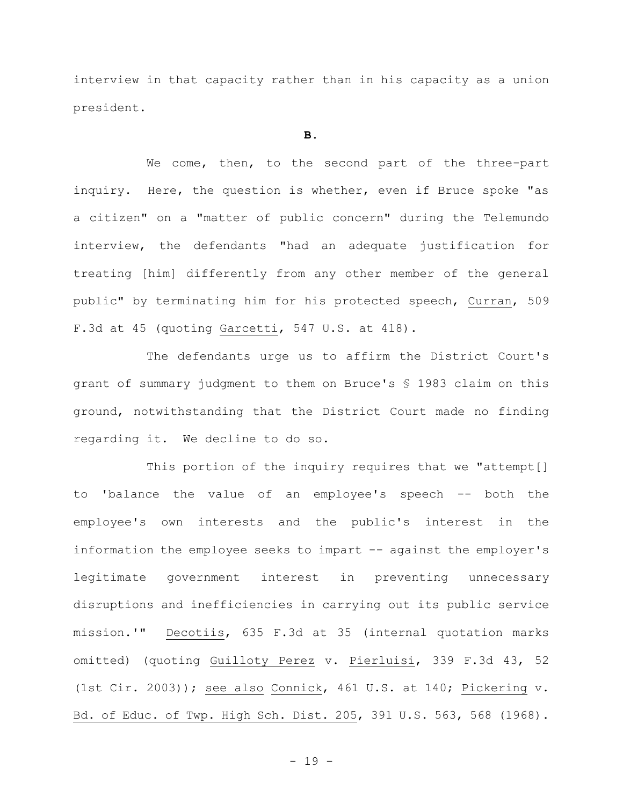interview in that capacity rather than in his capacity as a union president.

#### **B.**

We come, then, to the second part of the three-part inquiry. Here, the question is whether, even if Bruce spoke "as a citizen" on a "matter of public concern" during the Telemundo interview, the defendants "had an adequate justification for treating [him] differently from any other member of the general public" by terminating him for his protected speech, Curran, 509 F.3d at 45 (quoting Garcetti, 547 U.S. at 418).

The defendants urge us to affirm the District Court's grant of summary judgment to them on Bruce's § 1983 claim on this ground, notwithstanding that the District Court made no finding regarding it. We decline to do so.

This portion of the inquiry requires that we "attempt[] to 'balance the value of an employee's speech -- both the employee's own interests and the public's interest in the information the employee seeks to impart -- against the employer's legitimate government interest in preventing unnecessary disruptions and inefficiencies in carrying out its public service mission.'" Decotiis, 635 F.3d at 35 (internal quotation marks omitted) (quoting Guilloty Perez v. Pierluisi, 339 F.3d 43, 52 (1st Cir. 2003)); see also Connick, 461 U.S. at 140; Pickering v. Bd. of Educ. of Twp. High Sch. Dist. 205, 391 U.S. 563, 568 (1968).

- 19 -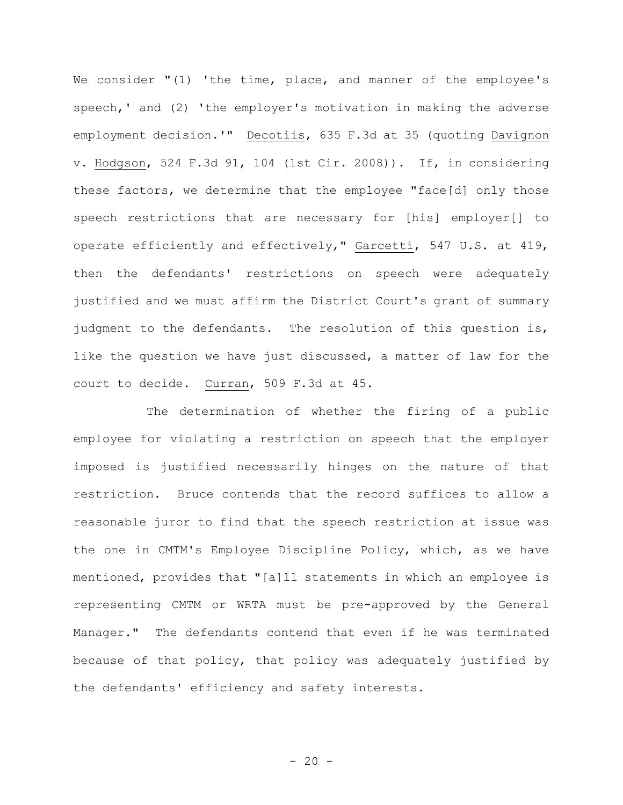We consider "(1) 'the time, place, and manner of the employee's speech,' and (2) 'the employer's motivation in making the adverse employment decision.'" Decotiis, 635 F.3d at 35 (quoting Davignon v. Hodgson, 524 F.3d 91, 104 (1st Cir. 2008)). If, in considering these factors, we determine that the employee "face[d] only those speech restrictions that are necessary for [his] employer[] to operate efficiently and effectively," Garcetti, 547 U.S. at 419, then the defendants' restrictions on speech were adequately justified and we must affirm the District Court's grant of summary judgment to the defendants. The resolution of this question is, like the question we have just discussed, a matter of law for the court to decide. Curran, 509 F.3d at 45.

The determination of whether the firing of a public employee for violating a restriction on speech that the employer imposed is justified necessarily hinges on the nature of that restriction. Bruce contends that the record suffices to allow a reasonable juror to find that the speech restriction at issue was the one in CMTM's Employee Discipline Policy, which, as we have mentioned, provides that "[a]ll statements in which an employee is representing CMTM or WRTA must be pre-approved by the General Manager." The defendants contend that even if he was terminated because of that policy, that policy was adequately justified by the defendants' efficiency and safety interests.

 $- 20 -$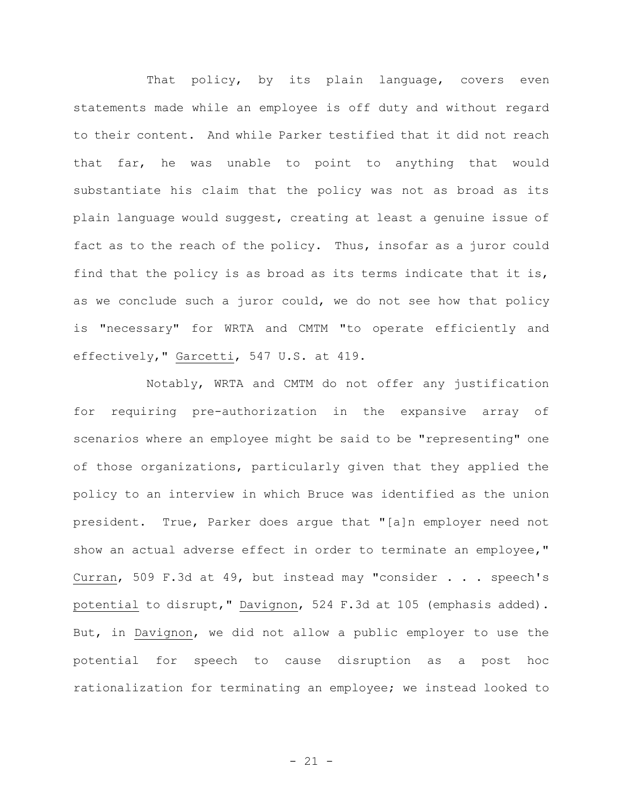That policy, by its plain language, covers even statements made while an employee is off duty and without regard to their content. And while Parker testified that it did not reach that far, he was unable to point to anything that would substantiate his claim that the policy was not as broad as its plain language would suggest, creating at least a genuine issue of fact as to the reach of the policy. Thus, insofar as a juror could find that the policy is as broad as its terms indicate that it is, as we conclude such a juror could, we do not see how that policy is "necessary" for WRTA and CMTM "to operate efficiently and effectively," Garcetti, 547 U.S. at 419.

Notably, WRTA and CMTM do not offer any justification for requiring pre-authorization in the expansive array of scenarios where an employee might be said to be "representing" one of those organizations, particularly given that they applied the policy to an interview in which Bruce was identified as the union president. True, Parker does argue that "[a]n employer need not show an actual adverse effect in order to terminate an employee," Curran, 509 F.3d at 49, but instead may "consider . . . speech's potential to disrupt," Davignon, 524 F.3d at 105 (emphasis added). But, in Davignon, we did not allow a public employer to use the potential for speech to cause disruption as a post hoc rationalization for terminating an employee; we instead looked to

- 21 -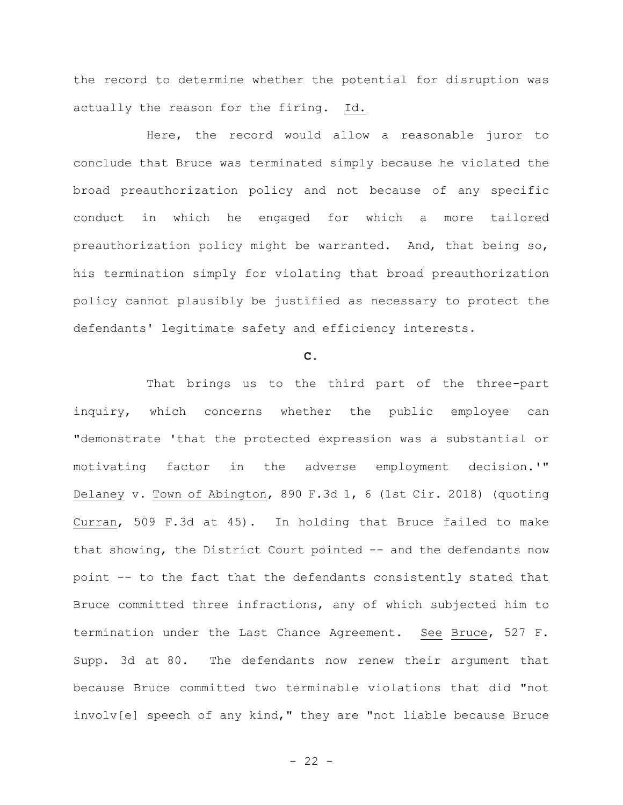the record to determine whether the potential for disruption was actually the reason for the firing. Id.

Here, the record would allow a reasonable juror to conclude that Bruce was terminated simply because he violated the broad preauthorization policy and not because of any specific conduct in which he engaged for which a more tailored preauthorization policy might be warranted. And, that being so, his termination simply for violating that broad preauthorization policy cannot plausibly be justified as necessary to protect the defendants' legitimate safety and efficiency interests.

### **C.**

That brings us to the third part of the three-part inquiry, which concerns whether the public employee can "demonstrate 'that the protected expression was a substantial or motivating factor in the adverse employment decision.'" Delaney v. Town of Abington, 890 F.3d 1, 6 (1st Cir. 2018) (quoting Curran, 509 F.3d at 45). In holding that Bruce failed to make that showing, the District Court pointed -- and the defendants now point -- to the fact that the defendants consistently stated that Bruce committed three infractions, any of which subjected him to termination under the Last Chance Agreement. See Bruce, 527 F. Supp. 3d at 80. The defendants now renew their argument that because Bruce committed two terminable violations that did "not involv[e] speech of any kind," they are "not liable because Bruce

 $- 22 -$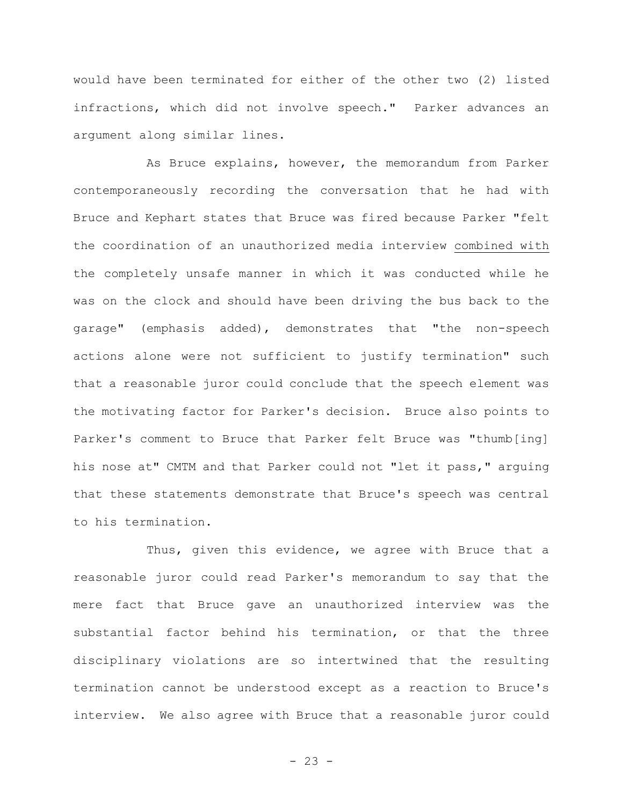would have been terminated for either of the other two (2) listed infractions, which did not involve speech." Parker advances an argument along similar lines.

As Bruce explains, however, the memorandum from Parker contemporaneously recording the conversation that he had with Bruce and Kephart states that Bruce was fired because Parker "felt the coordination of an unauthorized media interview combined with the completely unsafe manner in which it was conducted while he was on the clock and should have been driving the bus back to the garage" (emphasis added), demonstrates that "the non-speech actions alone were not sufficient to justify termination" such that a reasonable juror could conclude that the speech element was the motivating factor for Parker's decision. Bruce also points to Parker's comment to Bruce that Parker felt Bruce was "thumb[ing] his nose at" CMTM and that Parker could not "let it pass," arguing that these statements demonstrate that Bruce's speech was central to his termination.

Thus, given this evidence, we agree with Bruce that a reasonable juror could read Parker's memorandum to say that the mere fact that Bruce gave an unauthorized interview was the substantial factor behind his termination, or that the three disciplinary violations are so intertwined that the resulting termination cannot be understood except as a reaction to Bruce's interview. We also agree with Bruce that a reasonable juror could

 $- 23 -$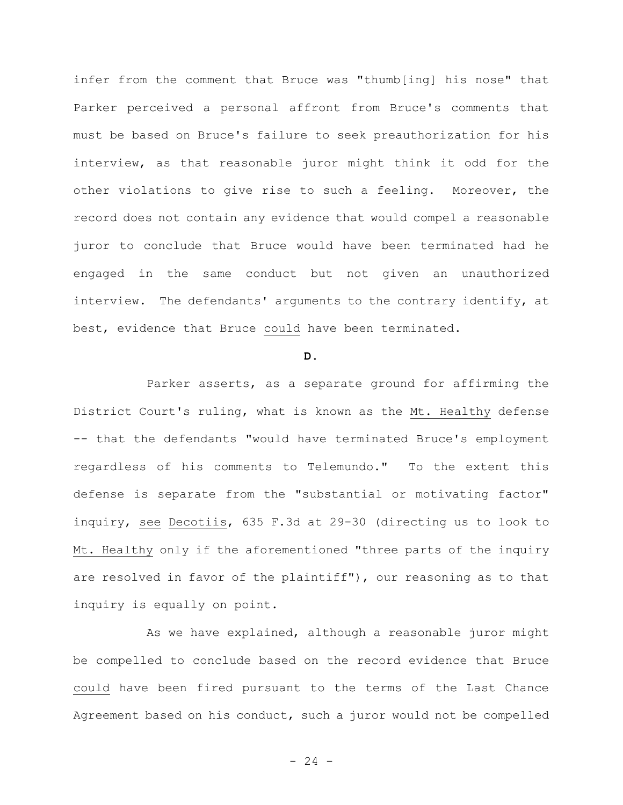infer from the comment that Bruce was "thumb[ing] his nose" that Parker perceived a personal affront from Bruce's comments that must be based on Bruce's failure to seek preauthorization for his interview, as that reasonable juror might think it odd for the other violations to give rise to such a feeling. Moreover, the record does not contain any evidence that would compel a reasonable juror to conclude that Bruce would have been terminated had he engaged in the same conduct but not given an unauthorized interview. The defendants' arguments to the contrary identify, at best, evidence that Bruce could have been terminated.

#### **D.**

Parker asserts, as a separate ground for affirming the District Court's ruling, what is known as the Mt. Healthy defense -- that the defendants "would have terminated Bruce's employment regardless of his comments to Telemundo." To the extent this defense is separate from the "substantial or motivating factor" inquiry, see Decotiis, 635 F.3d at 29-30 (directing us to look to Mt. Healthy only if the aforementioned "three parts of the inquiry are resolved in favor of the plaintiff"), our reasoning as to that inquiry is equally on point.

As we have explained, although a reasonable juror might be compelled to conclude based on the record evidence that Bruce could have been fired pursuant to the terms of the Last Chance Agreement based on his conduct, such a juror would not be compelled

 $- 24 -$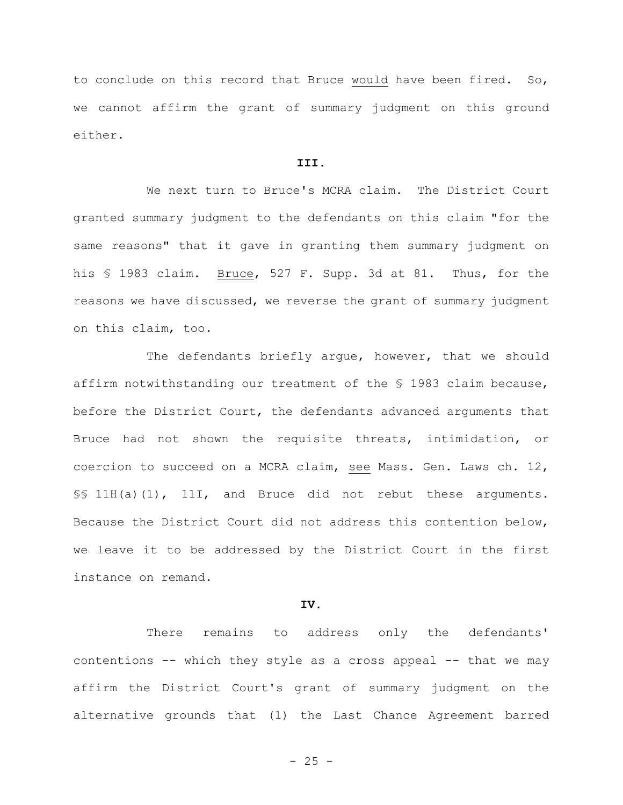to conclude on this record that Bruce would have been fired. So, we cannot affirm the grant of summary judgment on this ground either.

## **III.**

We next turn to Bruce's MCRA claim. The District Court granted summary judgment to the defendants on this claim "for the same reasons" that it gave in granting them summary judgment on his § 1983 claim. Bruce, 527 F. Supp. 3d at 81. Thus, for the reasons we have discussed, we reverse the grant of summary judgment on this claim, too.

The defendants briefly argue, however, that we should affirm notwithstanding our treatment of the § 1983 claim because, before the District Court, the defendants advanced arguments that Bruce had not shown the requisite threats, intimidation, or coercion to succeed on a MCRA claim, see Mass. Gen. Laws ch. 12, §§ 11H(a)(1), 11I, and Bruce did not rebut these arguments. Because the District Court did not address this contention below, we leave it to be addressed by the District Court in the first instance on remand.

## **IV.**

There remains to address only the defendants' contentions -- which they style as a cross appeal -- that we may affirm the District Court's grant of summary judgment on the alternative grounds that (1) the Last Chance Agreement barred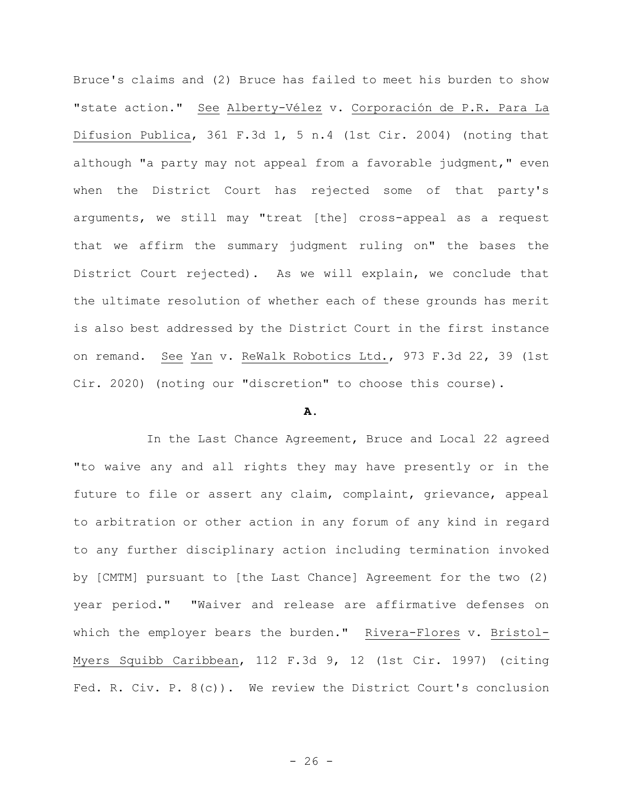Bruce's claims and (2) Bruce has failed to meet his burden to show "state action." See Alberty-Vélez v. Corporación de P.R. Para La Difusion Publica, 361 F.3d 1, 5 n.4 (1st Cir. 2004) (noting that although "a party may not appeal from a favorable judgment," even when the District Court has rejected some of that party's arguments, we still may "treat [the] cross-appeal as a request that we affirm the summary judgment ruling on" the bases the District Court rejected). As we will explain, we conclude that the ultimate resolution of whether each of these grounds has merit is also best addressed by the District Court in the first instance on remand. See Yan v. ReWalk Robotics Ltd., 973 F.3d 22, 39 (1st Cir. 2020) (noting our "discretion" to choose this course).

## **A.**

In the Last Chance Agreement, Bruce and Local 22 agreed "to waive any and all rights they may have presently or in the future to file or assert any claim, complaint, grievance, appeal to arbitration or other action in any forum of any kind in regard to any further disciplinary action including termination invoked by [CMTM] pursuant to [the Last Chance] Agreement for the two (2) year period." "Waiver and release are affirmative defenses on which the employer bears the burden." Rivera-Flores v. Bristol-Myers Squibb Caribbean, 112 F.3d 9, 12 (1st Cir. 1997) (citing Fed. R. Civ. P. 8(c)). We review the District Court's conclusion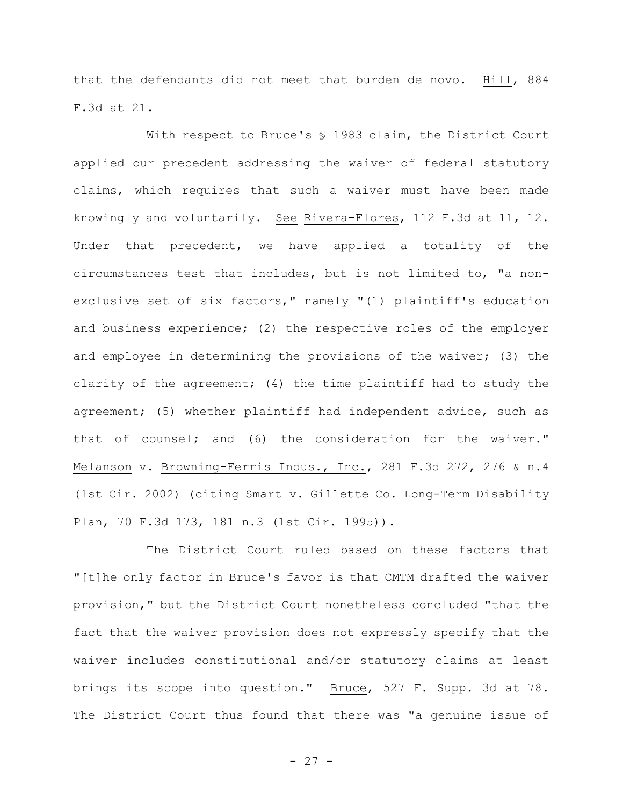that the defendants did not meet that burden de novo. Hill, 884 F.3d at 21.

With respect to Bruce's § 1983 claim, the District Court applied our precedent addressing the waiver of federal statutory claims, which requires that such a waiver must have been made knowingly and voluntarily. See Rivera-Flores, 112 F.3d at 11, 12. Under that precedent, we have applied a totality of the circumstances test that includes, but is not limited to, "a nonexclusive set of six factors," namely "(1) plaintiff's education and business experience; (2) the respective roles of the employer and employee in determining the provisions of the waiver; (3) the clarity of the agreement; (4) the time plaintiff had to study the agreement; (5) whether plaintiff had independent advice, such as that of counsel; and (6) the consideration for the waiver." Melanson v. Browning-Ferris Indus., Inc., 281 F.3d 272, 276 & n.4 (1st Cir. 2002) (citing Smart v. Gillette Co. Long-Term Disability Plan, 70 F.3d 173, 181 n.3 (1st Cir. 1995)).

The District Court ruled based on these factors that "[t]he only factor in Bruce's favor is that CMTM drafted the waiver provision," but the District Court nonetheless concluded "that the fact that the waiver provision does not expressly specify that the waiver includes constitutional and/or statutory claims at least brings its scope into question." Bruce, 527 F. Supp. 3d at 78. The District Court thus found that there was "a genuine issue of

- 27 -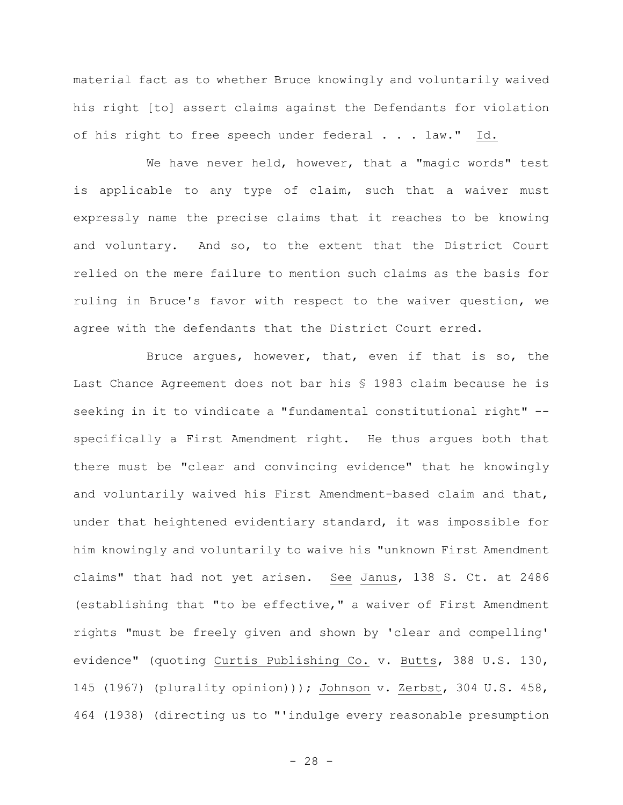material fact as to whether Bruce knowingly and voluntarily waived his right [to] assert claims against the Defendants for violation of his right to free speech under federal . . . law." Id.

We have never held, however, that a "magic words" test is applicable to any type of claim, such that a waiver must expressly name the precise claims that it reaches to be knowing and voluntary. And so, to the extent that the District Court relied on the mere failure to mention such claims as the basis for ruling in Bruce's favor with respect to the waiver question, we agree with the defendants that the District Court erred.

Bruce argues, however, that, even if that is so, the Last Chance Agreement does not bar his § 1983 claim because he is seeking in it to vindicate a "fundamental constitutional right" - specifically a First Amendment right. He thus argues both that there must be "clear and convincing evidence" that he knowingly and voluntarily waived his First Amendment-based claim and that, under that heightened evidentiary standard, it was impossible for him knowingly and voluntarily to waive his "unknown First Amendment claims" that had not yet arisen. See Janus, 138 S. Ct. at 2486 (establishing that "to be effective," a waiver of First Amendment rights "must be freely given and shown by 'clear and compelling' evidence" (quoting Curtis Publishing Co. v. Butts, 388 U.S. 130, 145 (1967) (plurality opinion))); Johnson v. Zerbst, 304 U.S. 458, 464 (1938) (directing us to "'indulge every reasonable presumption

- 28 -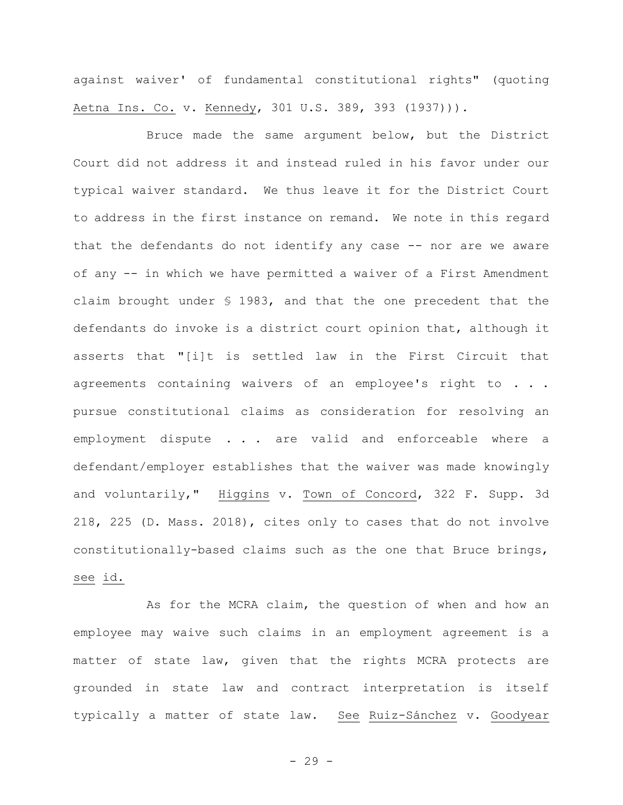against waiver' of fundamental constitutional rights" (quoting Aetna Ins. Co. v. Kennedy, 301 U.S. 389, 393 (1937))).

Bruce made the same argument below, but the District Court did not address it and instead ruled in his favor under our typical waiver standard. We thus leave it for the District Court to address in the first instance on remand. We note in this regard that the defendants do not identify any case -- nor are we aware of any -- in which we have permitted a waiver of a First Amendment claim brought under § 1983, and that the one precedent that the defendants do invoke is a district court opinion that, although it asserts that "[i]t is settled law in the First Circuit that agreements containing waivers of an employee's right to . . . pursue constitutional claims as consideration for resolving an employment dispute . . . are valid and enforceable where a defendant/employer establishes that the waiver was made knowingly and voluntarily," Higgins v. Town of Concord, 322 F. Supp. 3d 218, 225 (D. Mass. 2018), cites only to cases that do not involve constitutionally-based claims such as the one that Bruce brings, see id.

As for the MCRA claim, the question of when and how an employee may waive such claims in an employment agreement is a matter of state law, given that the rights MCRA protects are grounded in state law and contract interpretation is itself typically a matter of state law. See Ruiz-Sánchez v. Goodyear

- 29 -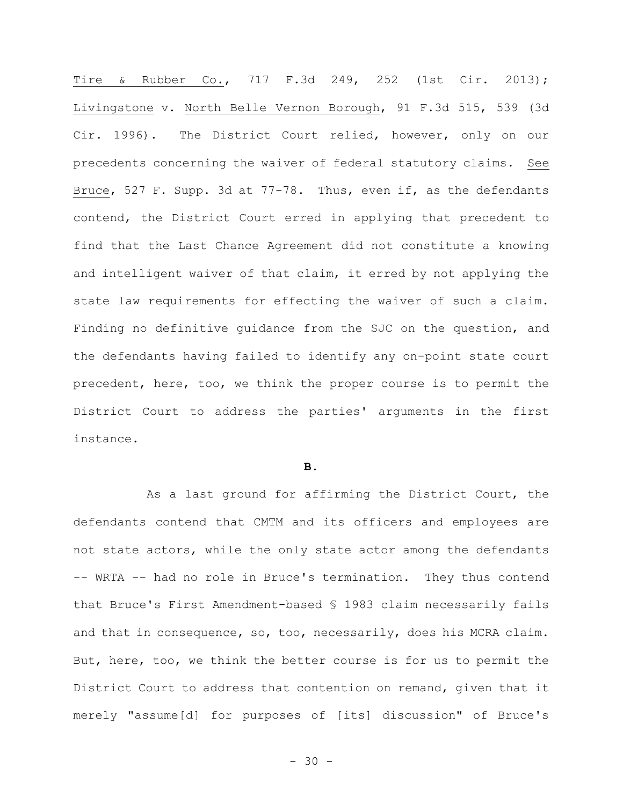Tire & Rubber Co., 717 F.3d 249, 252 (1st Cir. 2013); Livingstone v. North Belle Vernon Borough, 91 F.3d 515, 539 (3d Cir. 1996). The District Court relied, however, only on our precedents concerning the waiver of federal statutory claims. See Bruce, 527 F. Supp. 3d at 77-78. Thus, even if, as the defendants contend, the District Court erred in applying that precedent to find that the Last Chance Agreement did not constitute a knowing and intelligent waiver of that claim, it erred by not applying the state law requirements for effecting the waiver of such a claim. Finding no definitive guidance from the SJC on the question, and the defendants having failed to identify any on-point state court precedent, here, too, we think the proper course is to permit the District Court to address the parties' arguments in the first instance.

#### **B.**

As a last ground for affirming the District Court, the defendants contend that CMTM and its officers and employees are not state actors, while the only state actor among the defendants -- WRTA -- had no role in Bruce's termination. They thus contend that Bruce's First Amendment-based § 1983 claim necessarily fails and that in consequence, so, too, necessarily, does his MCRA claim. But, here, too, we think the better course is for us to permit the District Court to address that contention on remand, given that it merely "assume[d] for purposes of [its] discussion" of Bruce's